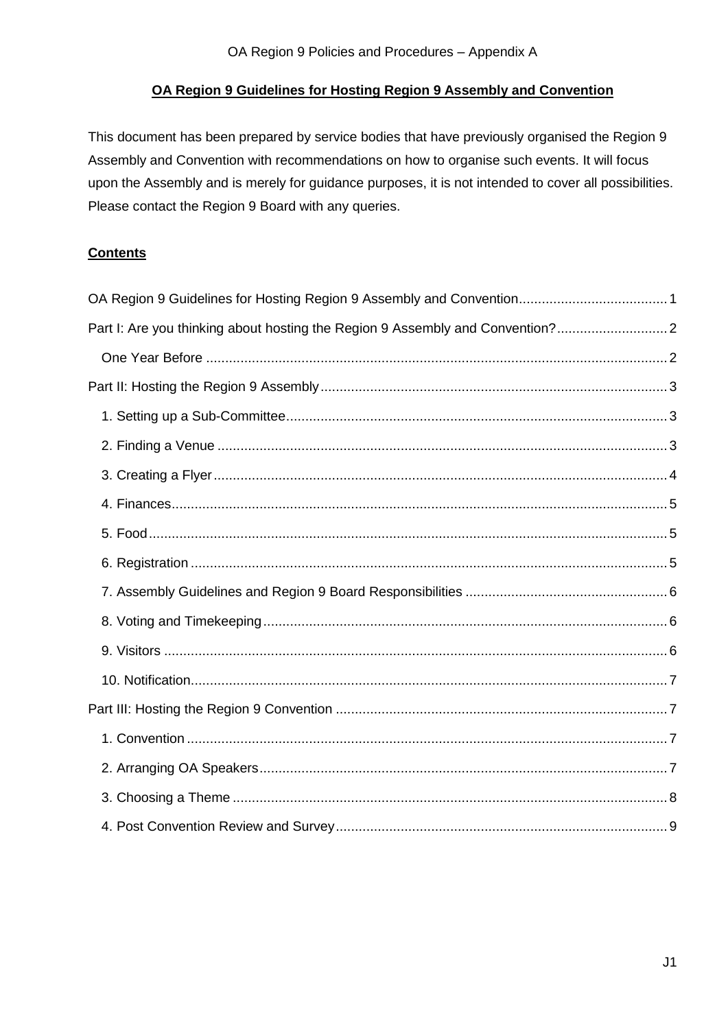# **OA Region 9 Guidelines for Hosting Region 9 Assembly and Convention**

<span id="page-0-0"></span>This document has been prepared by service bodies that have previously organised the Region 9 Assembly and Convention with recommendations on how to organise such events. It will focus upon the Assembly and is merely for guidance purposes, it is not intended to cover all possibilities. Please contact the Region 9 Board with any queries.

#### **Contents**

| Part I: Are you thinking about hosting the Region 9 Assembly and Convention? |  |
|------------------------------------------------------------------------------|--|
|                                                                              |  |
|                                                                              |  |
|                                                                              |  |
|                                                                              |  |
|                                                                              |  |
|                                                                              |  |
|                                                                              |  |
|                                                                              |  |
|                                                                              |  |
|                                                                              |  |
|                                                                              |  |
|                                                                              |  |
|                                                                              |  |
|                                                                              |  |
|                                                                              |  |
|                                                                              |  |
|                                                                              |  |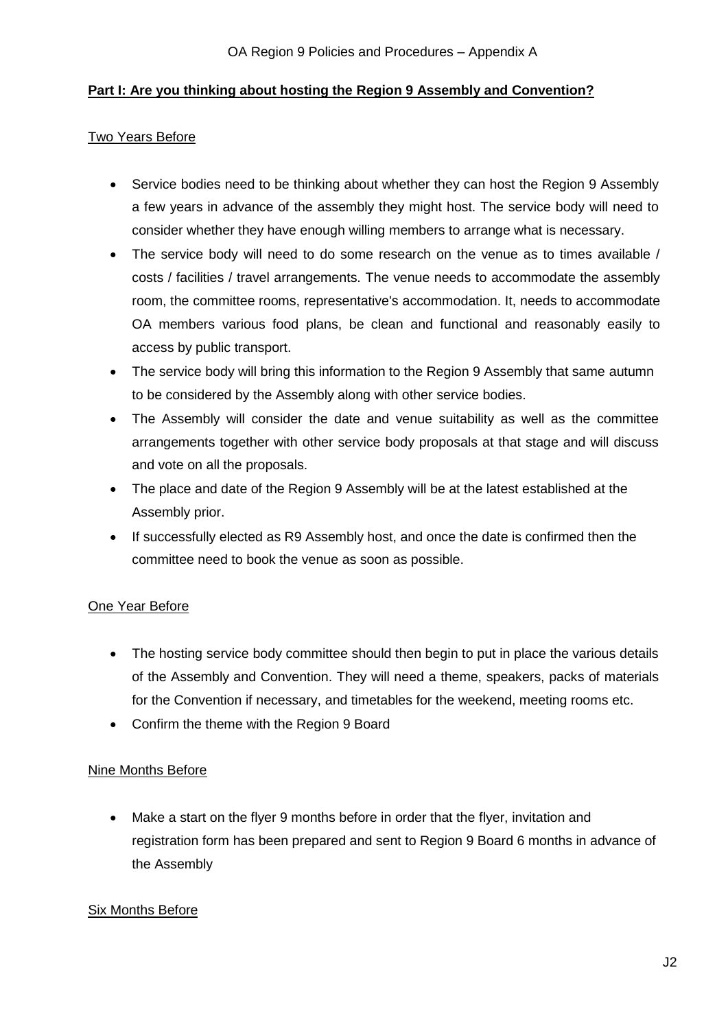# <span id="page-1-0"></span>**Part I: Are you thinking about hosting the Region 9 Assembly and Convention?**

#### Two Years Before

- Service bodies need to be thinking about whether they can host the Region 9 Assembly a few years in advance of the assembly they might host. The service body will need to consider whether they have enough willing members to arrange what is necessary.
- The service body will need to do some research on the venue as to times available / costs / facilities / travel arrangements. The venue needs to accommodate the assembly room, the committee rooms, representative's accommodation. It, needs to accommodate OA members various food plans, be clean and functional and reasonably easily to access by public transport.
- The service body will bring this information to the Region 9 Assembly that same autumn to be considered by the Assembly along with other service bodies.
- The Assembly will consider the date and venue suitability as well as the committee arrangements together with other service body proposals at that stage and will discuss and vote on all the proposals.
- The place and date of the Region 9 Assembly will be at the latest established at the Assembly prior.
- If successfully elected as R9 Assembly host, and once the date is confirmed then the committee need to book the venue as soon as possible.

## <span id="page-1-1"></span>One Year Before

- The hosting service body committee should then begin to put in place the various details of the Assembly and Convention. They will need a theme, speakers, packs of materials for the Convention if necessary, and timetables for the weekend, meeting rooms etc.
- Confirm the theme with the Region 9 Board

## Nine Months Before

 Make a start on the flyer 9 months before in order that the flyer, invitation and registration form has been prepared and sent to Region 9 Board 6 months in advance of the Assembly

## Six Months Before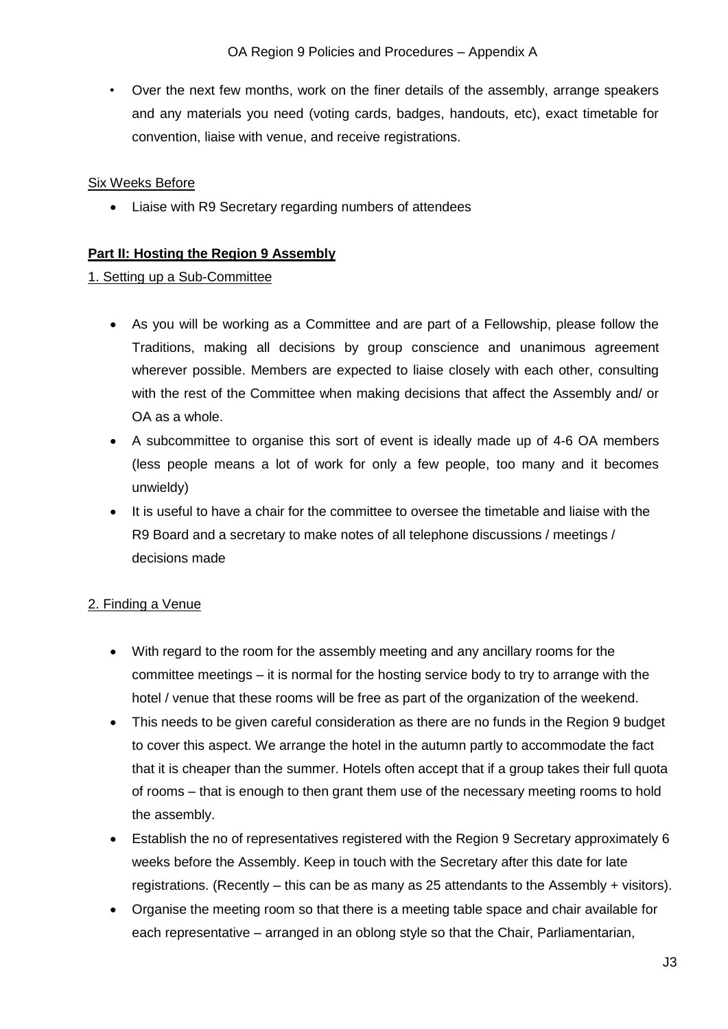• Over the next few months, work on the finer details of the assembly, arrange speakers and any materials you need (voting cards, badges, handouts, etc), exact timetable for convention, liaise with venue, and receive registrations.

#### Six Weeks Before

Liaise with R9 Secretary regarding numbers of attendees

#### <span id="page-2-0"></span>**Part II: Hosting the Region 9 Assembly**

#### <span id="page-2-1"></span>1. Setting up a Sub-Committee

- As you will be working as a Committee and are part of a Fellowship, please follow the Traditions, making all decisions by group conscience and unanimous agreement wherever possible. Members are expected to liaise closely with each other, consulting with the rest of the Committee when making decisions that affect the Assembly and/ or OA as a whole.
- A subcommittee to organise this sort of event is ideally made up of 4-6 OA members (less people means a lot of work for only a few people, too many and it becomes unwieldy)
- It is useful to have a chair for the committee to oversee the timetable and liaise with the R9 Board and a secretary to make notes of all telephone discussions / meetings / decisions made

## <span id="page-2-2"></span>2. Finding a Venue

- With regard to the room for the assembly meeting and any ancillary rooms for the committee meetings – it is normal for the hosting service body to try to arrange with the hotel / venue that these rooms will be free as part of the organization of the weekend.
- This needs to be given careful consideration as there are no funds in the Region 9 budget to cover this aspect. We arrange the hotel in the autumn partly to accommodate the fact that it is cheaper than the summer. Hotels often accept that if a group takes their full quota of rooms – that is enough to then grant them use of the necessary meeting rooms to hold the assembly.
- Establish the no of representatives registered with the Region 9 Secretary approximately 6 weeks before the Assembly. Keep in touch with the Secretary after this date for late registrations. (Recently – this can be as many as 25 attendants to the Assembly + visitors).
- Organise the meeting room so that there is a meeting table space and chair available for each representative – arranged in an oblong style so that the Chair, Parliamentarian,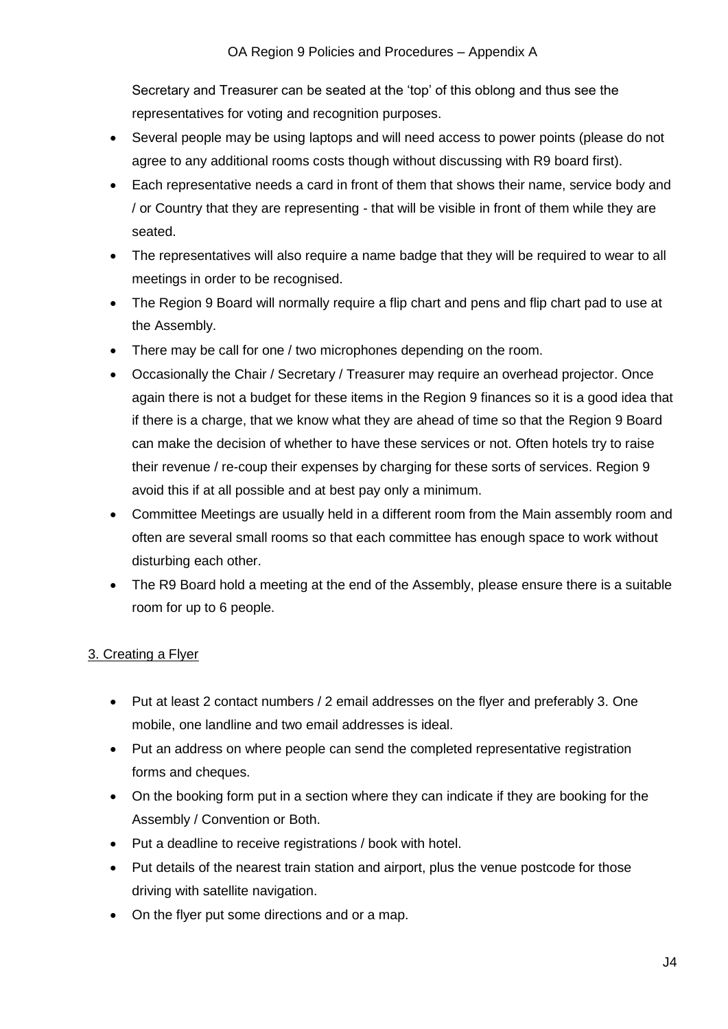Secretary and Treasurer can be seated at the 'top' of this oblong and thus see the representatives for voting and recognition purposes.

- Several people may be using laptops and will need access to power points (please do not agree to any additional rooms costs though without discussing with R9 board first).
- Each representative needs a card in front of them that shows their name, service body and / or Country that they are representing - that will be visible in front of them while they are seated.
- The representatives will also require a name badge that they will be required to wear to all meetings in order to be recognised.
- The Region 9 Board will normally require a flip chart and pens and flip chart pad to use at the Assembly.
- There may be call for one / two microphones depending on the room.
- Occasionally the Chair / Secretary / Treasurer may require an overhead projector. Once again there is not a budget for these items in the Region 9 finances so it is a good idea that if there is a charge, that we know what they are ahead of time so that the Region 9 Board can make the decision of whether to have these services or not. Often hotels try to raise their revenue / re-coup their expenses by charging for these sorts of services. Region 9 avoid this if at all possible and at best pay only a minimum.
- Committee Meetings are usually held in a different room from the Main assembly room and often are several small rooms so that each committee has enough space to work without disturbing each other.
- The R9 Board hold a meeting at the end of the Assembly, please ensure there is a suitable room for up to 6 people.

## <span id="page-3-0"></span>3. Creating a Flyer

- Put at least 2 contact numbers / 2 email addresses on the flyer and preferably 3. One mobile, one landline and two email addresses is ideal.
- Put an address on where people can send the completed representative registration forms and cheques.
- On the booking form put in a section where they can indicate if they are booking for the Assembly / Convention or Both.
- Put a deadline to receive registrations / book with hotel.
- Put details of the nearest train station and airport, plus the venue postcode for those driving with satellite navigation.
- On the flyer put some directions and or a map.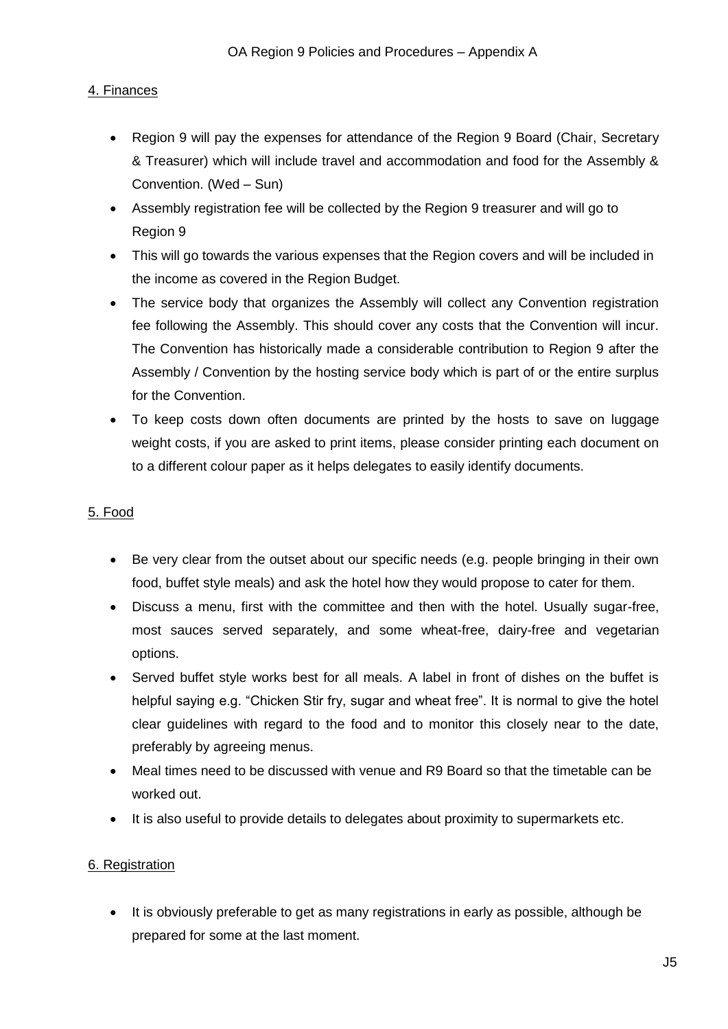# <span id="page-4-0"></span>4. Finances

- Region 9 will pay the expenses for attendance of the Region 9 Board (Chair, Secretary & Treasurer) which will include travel and accommodation and food for the Assembly & Convention. (Wed – Sun)
- Assembly registration fee will be collected by the Region 9 treasurer and will go to Region 9
- This will go towards the various expenses that the Region covers and will be included in the income as covered in the Region Budget.
- The service body that organizes the Assembly will collect any Convention registration fee following the Assembly. This should cover any costs that the Convention will incur. The Convention has historically made a considerable contribution to Region 9 after the Assembly / Convention by the hosting service body which is part of or the entire surplus for the Convention.
- To keep costs down often documents are printed by the hosts to save on luggage weight costs, if you are asked to print items, please consider printing each document on to a different colour paper as it helps delegates to easily identify documents.

# <span id="page-4-1"></span>5. Food

- Be very clear from the outset about our specific needs (e.g. people bringing in their own food, buffet style meals) and ask the hotel how they would propose to cater for them.
- Discuss a menu, first with the committee and then with the hotel. Usually sugar-free, most sauces served separately, and some wheat-free, dairy-free and vegetarian options.
- Served buffet style works best for all meals. A label in front of dishes on the buffet is helpful saying e.g. "Chicken Stir fry, sugar and wheat free". It is normal to give the hotel clear guidelines with regard to the food and to monitor this closely near to the date, preferably by agreeing menus.
- Meal times need to be discussed with venue and R9 Board so that the timetable can be worked out.
- It is also useful to provide details to delegates about proximity to supermarkets etc.

## <span id="page-4-2"></span>6. Registration

• It is obviously preferable to get as many registrations in early as possible, although be prepared for some at the last moment.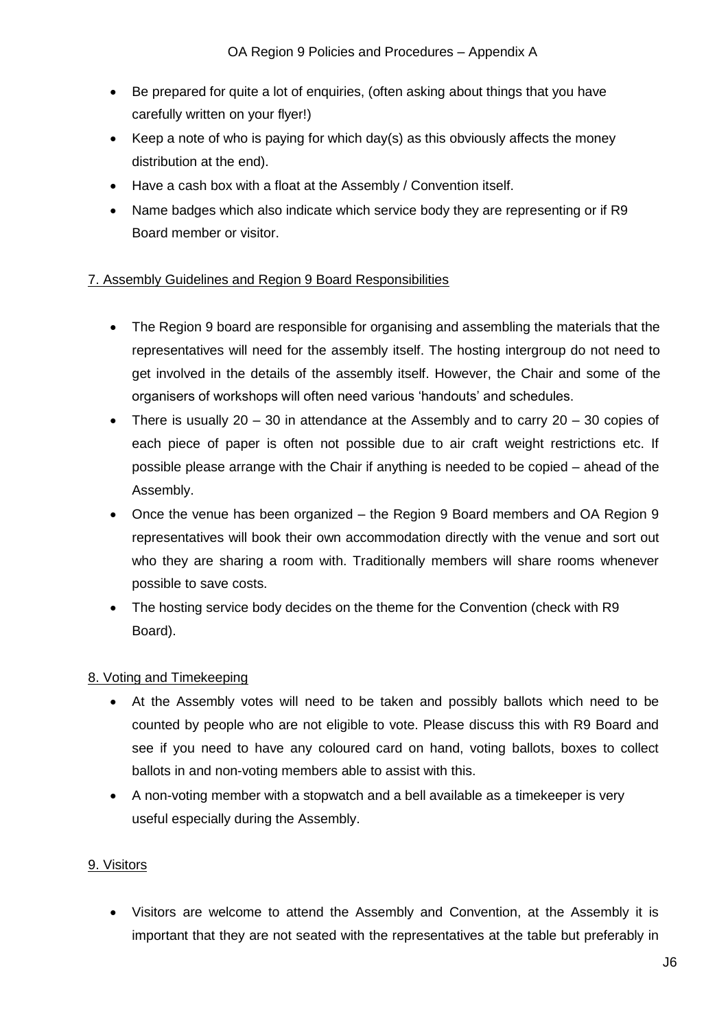- Be prepared for quite a lot of enquiries, (often asking about things that you have carefully written on your flyer!)
- Exempt A Keep a note of who is paying for which day(s) as this obviously affects the money distribution at the end).
- Have a cash box with a float at the Assembly / Convention itself.
- Name badges which also indicate which service body they are representing or if R9 Board member or visitor.

# <span id="page-5-0"></span>7. Assembly Guidelines and Region 9 Board Responsibilities

- The Region 9 board are responsible for organising and assembling the materials that the representatives will need for the assembly itself. The hosting intergroup do not need to get involved in the details of the assembly itself. However, the Chair and some of the organisers of workshops will often need various 'handouts' and schedules.
- There is usually 20 30 in attendance at the Assembly and to carry  $20 30$  copies of each piece of paper is often not possible due to air craft weight restrictions etc. If possible please arrange with the Chair if anything is needed to be copied – ahead of the Assembly.
- Once the venue has been organized the Region 9 Board members and OA Region 9 representatives will book their own accommodation directly with the venue and sort out who they are sharing a room with. Traditionally members will share rooms whenever possible to save costs.
- The hosting service body decides on the theme for the Convention (check with R9 Board).

## <span id="page-5-1"></span>8. Voting and Timekeeping

- At the Assembly votes will need to be taken and possibly ballots which need to be counted by people who are not eligible to vote. Please discuss this with R9 Board and see if you need to have any coloured card on hand, voting ballots, boxes to collect ballots in and non-voting members able to assist with this.
- A non-voting member with a stopwatch and a bell available as a timekeeper is very useful especially during the Assembly.

## <span id="page-5-2"></span>9. Visitors

 Visitors are welcome to attend the Assembly and Convention, at the Assembly it is important that they are not seated with the representatives at the table but preferably in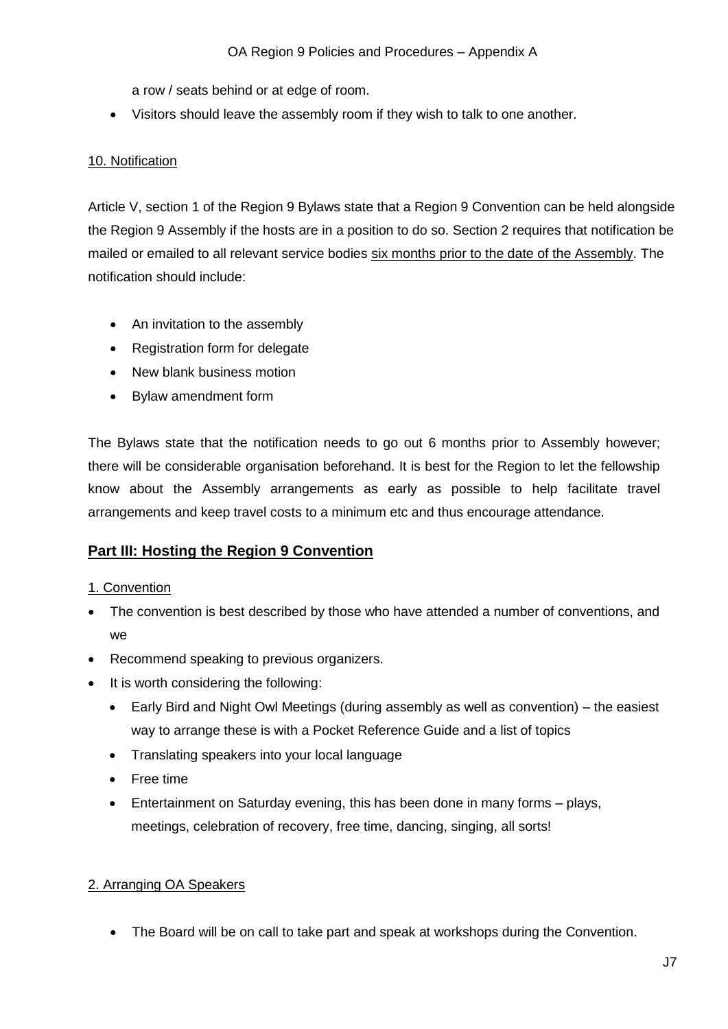a row / seats behind or at edge of room.

Visitors should leave the assembly room if they wish to talk to one another.

# <span id="page-6-0"></span>10. Notification

Article V, section 1 of the Region 9 Bylaws state that a Region 9 Convention can be held alongside the Region 9 Assembly if the hosts are in a position to do so. Section 2 requires that notification be mailed or emailed to all relevant service bodies six months prior to the date of the Assembly. The notification should include:

- An invitation to the assembly
- Registration form for delegate
- New blank business motion
- Bylaw amendment form

The Bylaws state that the notification needs to go out 6 months prior to Assembly however; there will be considerable organisation beforehand. It is best for the Region to let the fellowship know about the Assembly arrangements as early as possible to help facilitate travel arrangements and keep travel costs to a minimum etc and thus encourage attendance.

# <span id="page-6-1"></span>**Part III: Hosting the Region 9 Convention**

## <span id="page-6-2"></span>1. Convention

- The convention is best described by those who have attended a number of conventions, and we
- Recommend speaking to previous organizers.
- It is worth considering the following:
	- Early Bird and Night Owl Meetings (during assembly as well as convention) the easiest way to arrange these is with a Pocket Reference Guide and a list of topics
	- Translating speakers into your local language
	- Free time
	- Entertainment on Saturday evening, this has been done in many forms plays, meetings, celebration of recovery, free time, dancing, singing, all sorts!

## <span id="page-6-3"></span>2. Arranging OA Speakers

The Board will be on call to take part and speak at workshops during the Convention.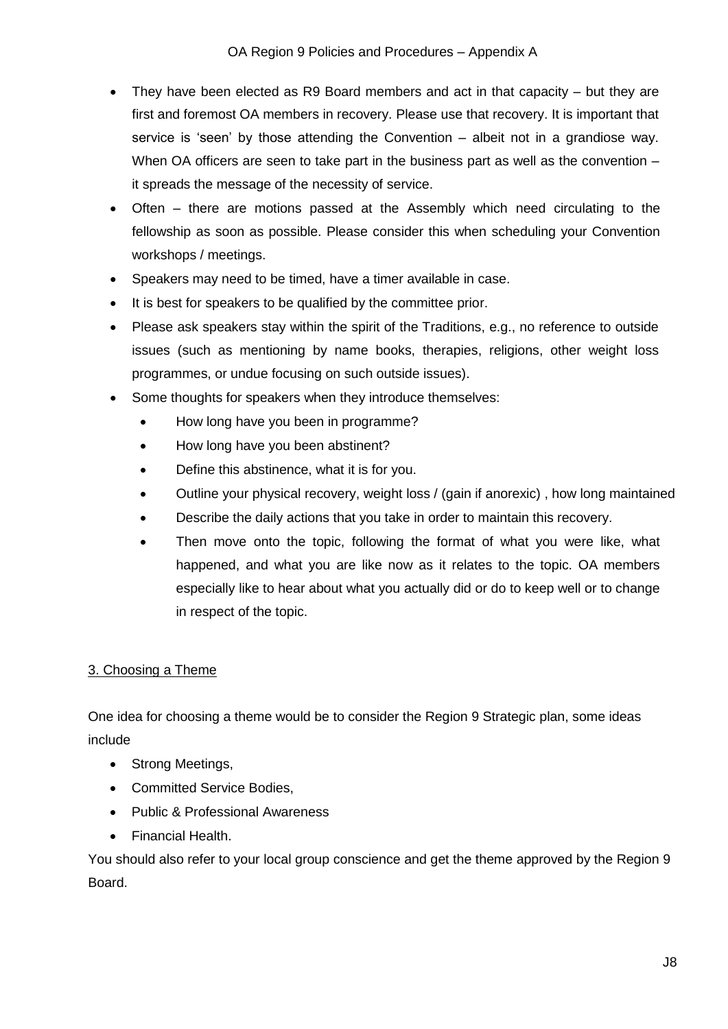- They have been elected as R9 Board members and act in that capacity but they are first and foremost OA members in recovery. Please use that recovery. It is important that service is 'seen' by those attending the Convention – albeit not in a grandiose way. When OA officers are seen to take part in the business part as well as the convention – it spreads the message of the necessity of service.
- Often there are motions passed at the Assembly which need circulating to the fellowship as soon as possible. Please consider this when scheduling your Convention workshops / meetings.
- Speakers may need to be timed, have a timer available in case.
- It is best for speakers to be qualified by the committee prior.
- Please ask speakers stay within the spirit of the Traditions, e.g., no reference to outside issues (such as mentioning by name books, therapies, religions, other weight loss programmes, or undue focusing on such outside issues).
- Some thoughts for speakers when they introduce themselves:
	- How long have you been in programme?
	- How long have you been abstinent?
	- Define this abstinence, what it is for you.
	- Outline your physical recovery, weight loss / (gain if anorexic) , how long maintained
	- Describe the daily actions that you take in order to maintain this recovery.
	- Then move onto the topic, following the format of what you were like, what happened, and what you are like now as it relates to the topic. OA members especially like to hear about what you actually did or do to keep well or to change in respect of the topic.

## <span id="page-7-0"></span>3. Choosing a Theme

One idea for choosing a theme would be to consider the Region 9 Strategic plan, some ideas include

- Strong Meetings,
- Committed Service Bodies,
- Public & Professional Awareness
- Financial Health.

You should also refer to your local group conscience and get the theme approved by the Region 9 Board.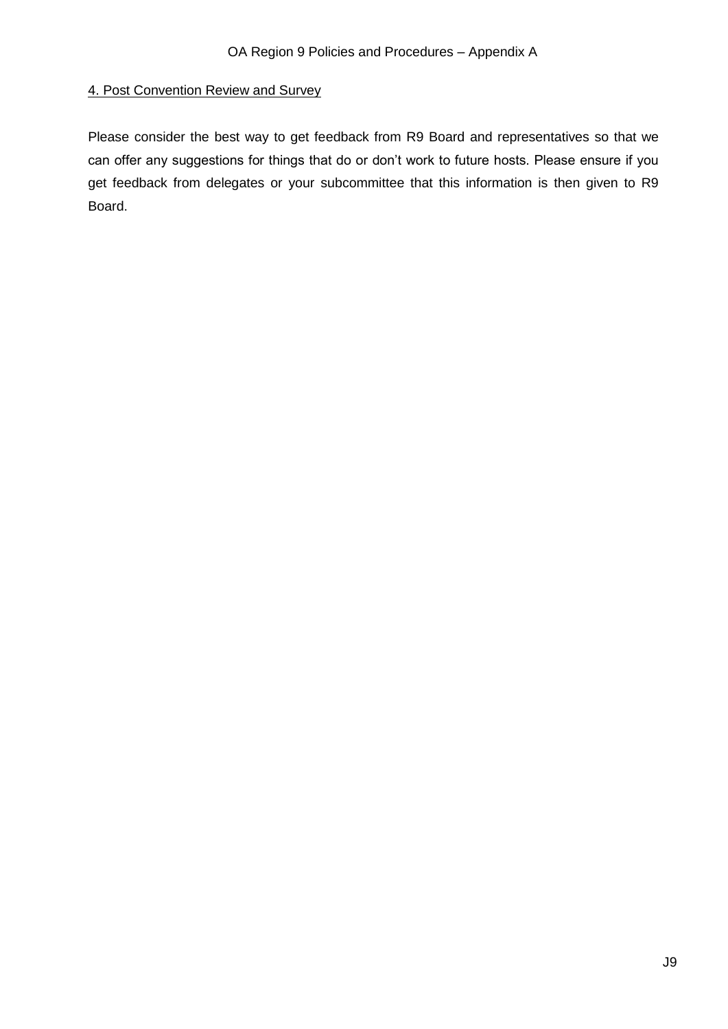#### <span id="page-8-0"></span>4. Post Convention Review and Survey

Please consider the best way to get feedback from R9 Board and representatives so that we can offer any suggestions for things that do or don't work to future hosts. Please ensure if you get feedback from delegates or your subcommittee that this information is then given to R9 Board.